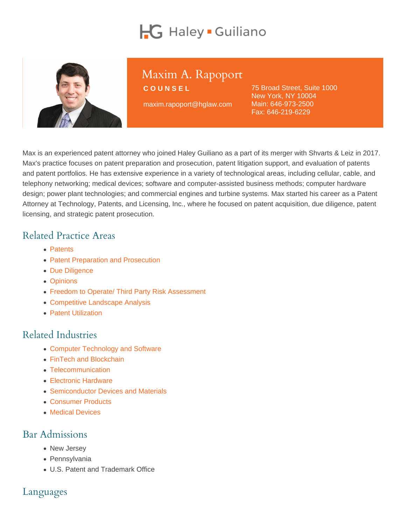# Maxim A. Rapoport

COUNSEL

maxim.rapoport@hglaw.com

75 Broad Street, Suite 1000 New York, NY 10004 Main: [646-973-2500](tel:+1-646-973-2500) Fax: 646-219-6229

Max is an experienced patent attorney who joined Haley Guiliano as a part of its merger with Shvarts & Leiz in 2017. Max's practice focuses on patent preparation and prosecution, patent litigation support, and evaluation of patents and patent portfolios. He has extensive experience in a variety of technological areas, including cellular, cable, and telephony networking; medical devices; software and computer-assisted business methods; computer hardware design; power plant technologies; and commercial engines and turbine systems. Max started his career as a Patent Attorney at Technology, Patents, and Licensing, Inc., where he focused on patent acquisition, due diligence, patent licensing, and strategic patent prosecution.

### Related Practice Areas

- [Patents](https://www.hglaw.com/practice-areas/patents/)
- [Patent Preparation and Prosecution](https://www.hglaw.com/practice-areas/patents/patent-preparation-prosecution/)
- [Due Diligence](https://www.hglaw.com/practice-areas/strategic-counseling/due-diligence/)
- [Opinions](https://www.hglaw.com/practice-areas/strategic-counseling/opinions/)
- [Freedom to Operate/ Third Party Risk Assessment](https://www.hglaw.com/practice-areas/strategic-counseling/freedom-to-operate-third-party-risk-assessment/)
- [Competitive Landscape Analysis](https://www.hglaw.com/practice-areas/strategic-counseling/competitive-landscape-analysis/)
- [Patent Utilization](https://www.hglaw.com/practice-areas/strategic-counseling/patent-utilization/)

### Related Industries

- [Computer Technology and Software](https://www.hglaw.com/industries/computer-technology-software/)
- [FinTech and Blockchain](https://www.hglaw.com/industries/fintech-blockchain/)
- [Telecommunication](https://www.hglaw.com/industries/telecommunications/)
- [Electronic Hardware](https://www.hglaw.com/industries/electronic-hardware/)
- [Semiconductor Devices and Materials](https://www.hglaw.com/industries/semiconductors-devices-materials/)
- [Consumer Products](https://www.hglaw.com/industries/consumer-products/)
- [Medical Devices](https://www.hglaw.com/industries/medical-devices/)

#### Bar Admissions

- New Jersey
- Pennsylvania
- U.S. Patent and Trademark Office

#### Languages